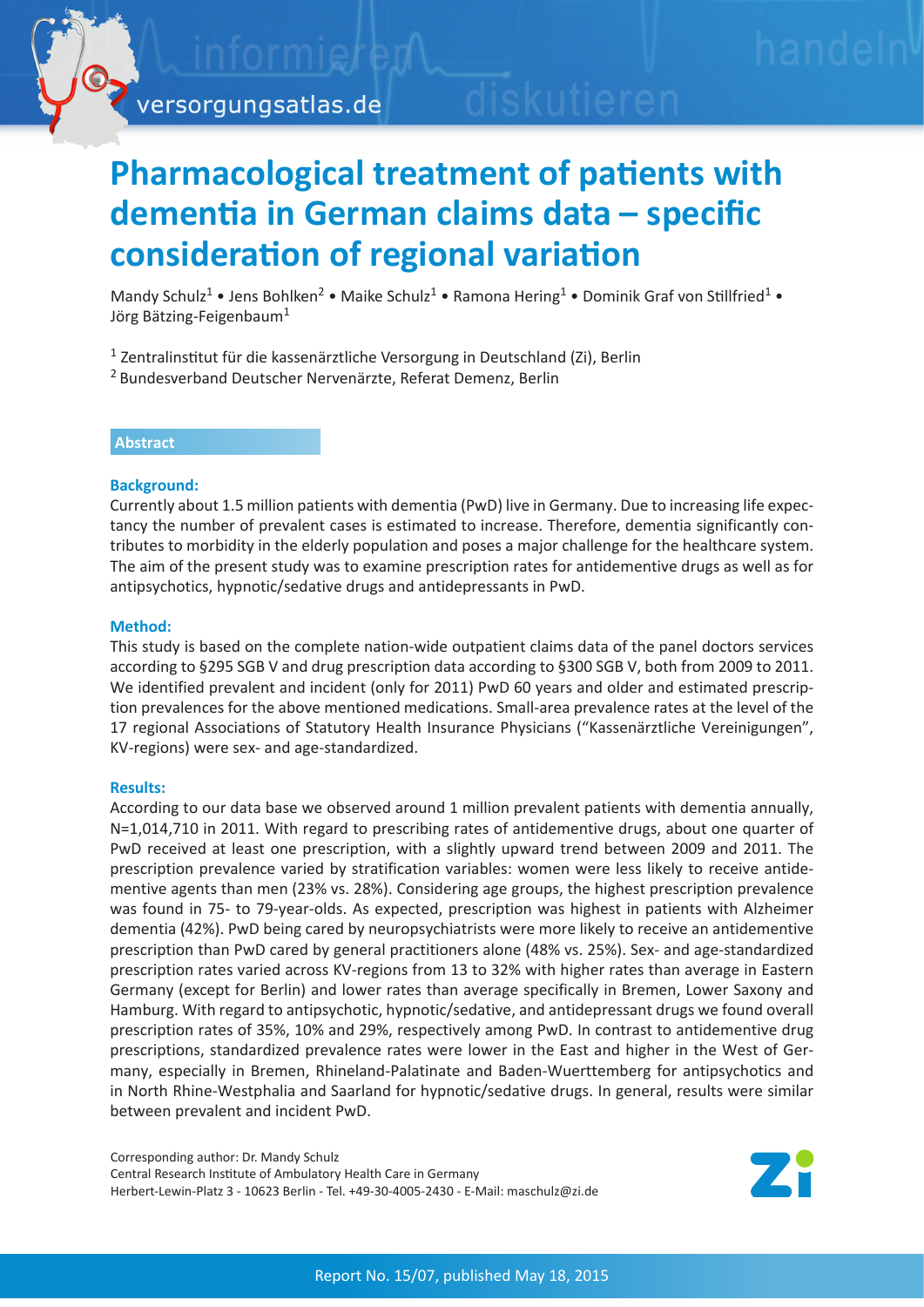

# **Pharmacological treatment of patients with dementia in German claims data – specific consideration of regional variation**

Mandy Schulz<sup>1</sup> • Jens Bohlken<sup>2</sup> • Maike Schulz<sup>1</sup> • Ramona Hering<sup>1</sup> • Dominik Graf von Stillfried<sup>1</sup> • Jörg Bätzing-Feigenbaum<sup>1</sup>

- <sup>1</sup> Zentralinstitut für die kassenärztliche Versorgung in Deutschland (Zi), Berlin
- <sup>2</sup> Bundesverband Deutscher Nervenärzte, Referat Demenz, Berlin

# **Abstract**

# **Background:**

Currently about 1.5 million patients with dementia (PwD) live in Germany. Due to increasing life expectancy the number of prevalent cases is estimated to increase. Therefore, dementia significantly contributes to morbidity in the elderly population and poses a major challenge for the healthcare system. The aim of the present study was to examine prescription rates for antidementive drugs as well as for antipsychotics, hypnotic/sedative drugs and antidepressants in PwD.

# **Method:**

This study is based on the complete nation-wide outpatient claims data of the panel doctors services according to §295 SGB V and drug prescription data according to §300 SGB V, both from 2009 to 2011. We identified prevalent and incident (only for 2011) PwD 60 years and older and estimated prescription prevalences for the above mentioned medications. Small-area prevalence rates at the level of the 17 regional Associations of Statutory Health Insurance Physicians ("Kassenärztliche Vereinigungen", KV-regions) were sex- and age-standardized.

#### **Results:**

According to our data base we observed around 1 million prevalent patients with dementia annually, N=1,014,710 in 2011. With regard to prescribing rates of antidementive drugs, about one quarter of PwD received at least one prescription, with a slightly upward trend between 2009 and 2011. The prescription prevalence varied by stratification variables: women were less likely to receive antidementive agents than men (23% vs. 28%). Considering age groups, the highest prescription prevalence was found in 75- to 79-year-olds. As expected, prescription was highest in patients with Alzheimer dementia (42%). PwD being cared by neuropsychiatrists were more likely to receive an antidementive prescription than PwD cared by general practitioners alone (48% vs. 25%). Sex- and age-standardized prescription rates varied across KV-regions from 13 to 32% with higher rates than average in Eastern Germany (except for Berlin) and lower rates than average specifically in Bremen, Lower Saxony and Hamburg. With regard to antipsychotic, hypnotic/sedative, and antidepressant drugs we found overall prescription rates of 35%, 10% and 29%, respectively among PwD. In contrast to antidementive drug prescriptions, standardized prevalence rates were lower in the East and higher in the West of Germany, especially in Bremen, Rhineland-Palatinate and Baden-Wuerttemberg for antipsychotics and in North Rhine-Westphalia and Saarland for hypnotic/sedative drugs. In general, results were similar between prevalent and incident PwD.

Corresponding author: Dr. Mandy Schulz Central Research Institute of Ambulatory Health Care in Germany Herbert-Lewin-Platz 3 - 10623 Berlin - Tel. +49-30-4005-2430 - E-Mail: maschulz@zi.de